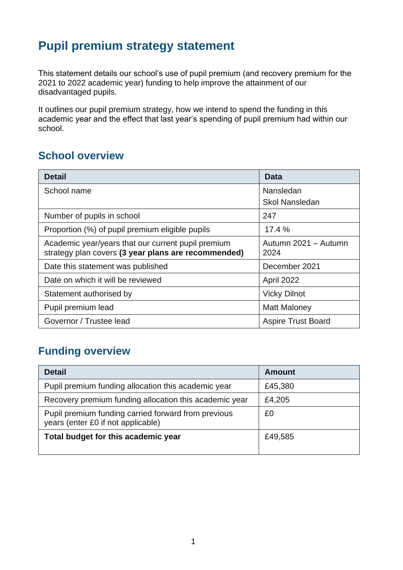## **Pupil premium strategy statement**

This statement details our school's use of pupil premium (and recovery premium for the 2021 to 2022 academic year) funding to help improve the attainment of our disadvantaged pupils.

It outlines our pupil premium strategy, how we intend to spend the funding in this academic year and the effect that last year's spending of pupil premium had within our school.

## **School overview**

| <b>Detail</b>                                                                                             | Data                         |
|-----------------------------------------------------------------------------------------------------------|------------------------------|
| School name                                                                                               | Nansledan                    |
|                                                                                                           | <b>Skol Nansledan</b>        |
| Number of pupils in school                                                                                | 247                          |
| Proportion (%) of pupil premium eligible pupils                                                           | 17.4 %                       |
| Academic year/years that our current pupil premium<br>strategy plan covers (3 year plans are recommended) | Autumn 2021 - Autumn<br>2024 |
| Date this statement was published                                                                         | December 2021                |
| Date on which it will be reviewed                                                                         | April 2022                   |
| Statement authorised by                                                                                   | <b>Vicky Dilnot</b>          |
| Pupil premium lead                                                                                        | Matt Maloney                 |
| Governor / Trustee lead                                                                                   | <b>Aspire Trust Board</b>    |

## **Funding overview**

| <b>Detail</b>                                                                             | <b>Amount</b> |
|-------------------------------------------------------------------------------------------|---------------|
| Pupil premium funding allocation this academic year                                       | £45,380       |
| Recovery premium funding allocation this academic year                                    | £4,205        |
| Pupil premium funding carried forward from previous<br>years (enter £0 if not applicable) | £0            |
| Total budget for this academic year                                                       | £49,585       |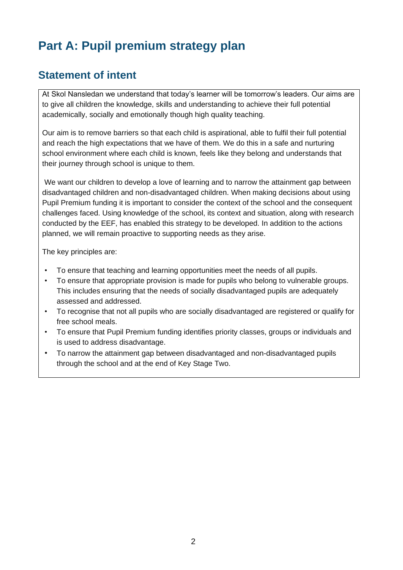# **Part A: Pupil premium strategy plan**

## **Statement of intent**

At Skol Nansledan we understand that today's learner will be tomorrow's leaders. Our aims are to give all children the knowledge, skills and understanding to achieve their full potential academically, socially and emotionally though high quality teaching.

Our aim is to remove barriers so that each child is aspirational, able to fulfil their full potential and reach the high expectations that we have of them. We do this in a safe and nurturing school environment where each child is known, feels like they belong and understands that their journey through school is unique to them.

We want our children to develop a love of learning and to narrow the attainment gap between disadvantaged children and non-disadvantaged children. When making decisions about using Pupil Premium funding it is important to consider the context of the school and the consequent challenges faced. Using knowledge of the school, its context and situation, along with research conducted by the EEF, has enabled this strategy to be developed. In addition to the actions planned, we will remain proactive to supporting needs as they arise.

The key principles are:

- To ensure that teaching and learning opportunities meet the needs of all pupils.
- To ensure that appropriate provision is made for pupils who belong to vulnerable groups. This includes ensuring that the needs of socially disadvantaged pupils are adequately assessed and addressed.
- To recognise that not all pupils who are socially disadvantaged are registered or qualify for free school meals.
- To ensure that Pupil Premium funding identifies priority classes, groups or individuals and is used to address disadvantage.
- To narrow the attainment gap between disadvantaged and non-disadvantaged pupils through the school and at the end of Key Stage Two.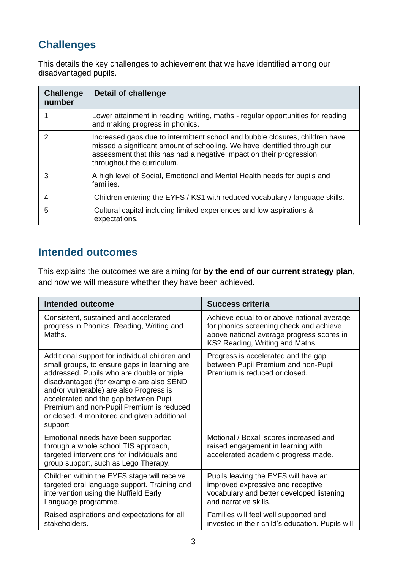## **Challenges**

This details the key challenges to achievement that we have identified among our disadvantaged pupils.

| <b>Challenge</b><br>number | <b>Detail of challenge</b>                                                                                                                                                                                                                                    |
|----------------------------|---------------------------------------------------------------------------------------------------------------------------------------------------------------------------------------------------------------------------------------------------------------|
|                            | Lower attainment in reading, writing, maths - regular opportunities for reading<br>and making progress in phonics.                                                                                                                                            |
| $\mathcal{P}$              | Increased gaps due to intermittent school and bubble closures, children have<br>missed a significant amount of schooling. We have identified through our<br>assessment that this has had a negative impact on their progression<br>throughout the curriculum. |
| 3                          | A high level of Social, Emotional and Mental Health needs for pupils and<br>families.                                                                                                                                                                         |
| 4                          | Children entering the EYFS / KS1 with reduced vocabulary / language skills.                                                                                                                                                                                   |
| 5                          | Cultural capital including limited experiences and low aspirations &<br>expectations.                                                                                                                                                                         |

## **Intended outcomes**

This explains the outcomes we are aiming for **by the end of our current strategy plan**, and how we will measure whether they have been achieved.

| Intended outcome                                                                                                                                                                                                                                                                                                                                                                   | <b>Success criteria</b>                                                                                                                                              |
|------------------------------------------------------------------------------------------------------------------------------------------------------------------------------------------------------------------------------------------------------------------------------------------------------------------------------------------------------------------------------------|----------------------------------------------------------------------------------------------------------------------------------------------------------------------|
| Consistent, sustained and accelerated<br>progress in Phonics, Reading, Writing and<br>Maths.                                                                                                                                                                                                                                                                                       | Achieve equal to or above national average<br>for phonics screening check and achieve<br>above national average progress scores in<br>KS2 Reading, Writing and Maths |
| Additional support for individual children and<br>small groups, to ensure gaps in learning are<br>addressed. Pupils who are double or triple<br>disadvantaged (for example are also SEND<br>and/or vulnerable) are also Progress is<br>accelerated and the gap between Pupil<br>Premium and non-Pupil Premium is reduced<br>or closed. 4 monitored and given additional<br>support | Progress is accelerated and the gap<br>between Pupil Premium and non-Pupil<br>Premium is reduced or closed.                                                          |
| Emotional needs have been supported<br>through a whole school TIS approach,<br>targeted interventions for individuals and<br>group support, such as Lego Therapy.                                                                                                                                                                                                                  | Motional / Boxall scores increased and<br>raised engagement in learning with<br>accelerated academic progress made.                                                  |
| Children within the EYFS stage will receive<br>targeted oral language support. Training and<br>intervention using the Nuffield Early<br>Language programme.                                                                                                                                                                                                                        | Pupils leaving the EYFS will have an<br>improved expressive and receptive<br>vocabulary and better developed listening<br>and narrative skills.                      |
| Raised aspirations and expectations for all<br>stakeholders.                                                                                                                                                                                                                                                                                                                       | Families will feel well supported and<br>invested in their child's education. Pupils will                                                                            |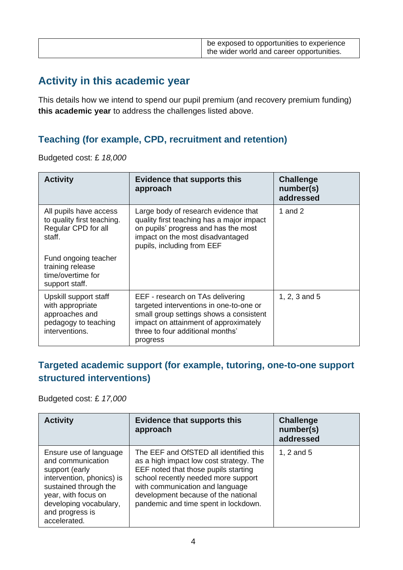|  | be exposed to opportunities to experience<br>the wider world and career opportunities. |
|--|----------------------------------------------------------------------------------------|
|--|----------------------------------------------------------------------------------------|

## **Activity in this academic year**

This details how we intend to spend our pupil premium (and recovery premium funding) **this academic year** to address the challenges listed above.

#### **Teaching (for example, CPD, recruitment and retention)**

Budgeted cost: £ *18,000*

| <b>Activity</b>                                                                                       | <b>Evidence that supports this</b><br>approach                                                                                                                                                                  | <b>Challenge</b><br>number(s)<br>addressed |
|-------------------------------------------------------------------------------------------------------|-----------------------------------------------------------------------------------------------------------------------------------------------------------------------------------------------------------------|--------------------------------------------|
| All pupils have access<br>to quality first teaching.<br>Regular CPD for all<br>staff.                 | Large body of research evidence that<br>quality first teaching has a major impact<br>on pupils' progress and has the most<br>impact on the most disadvantaged<br>pupils, including from EEF                     | 1 and 2                                    |
| Fund ongoing teacher<br>training release<br>time/overtime for<br>support staff.                       |                                                                                                                                                                                                                 |                                            |
| Upskill support staff<br>with appropriate<br>approaches and<br>pedagogy to teaching<br>interventions. | EEF - research on TAs delivering<br>targeted interventions in one-to-one or<br>small group settings shows a consistent<br>impact on attainment of approximately<br>three to four additional months'<br>progress | 1, 2, 3 and $5$                            |

#### **Targeted academic support (for example, tutoring, one-to-one support structured interventions)**

Budgeted cost: £ *17,000*

| <b>Activity</b>                                                                                                                                                                                         | <b>Evidence that supports this</b><br>approach                                                                                                                                                                                                                                     | <b>Challenge</b><br>number(s)<br>addressed |
|---------------------------------------------------------------------------------------------------------------------------------------------------------------------------------------------------------|------------------------------------------------------------------------------------------------------------------------------------------------------------------------------------------------------------------------------------------------------------------------------------|--------------------------------------------|
| Ensure use of language<br>and communication<br>support (early<br>intervention, phonics) is<br>sustained through the<br>year, with focus on<br>developing vocabulary,<br>and progress is<br>accelerated. | The EEF and OfSTED all identified this<br>as a high impact low cost strategy. The<br>EEF noted that those pupils starting<br>school recently needed more support<br>with communication and language<br>development because of the national<br>pandemic and time spent in lockdown. | 1, 2 and $5$                               |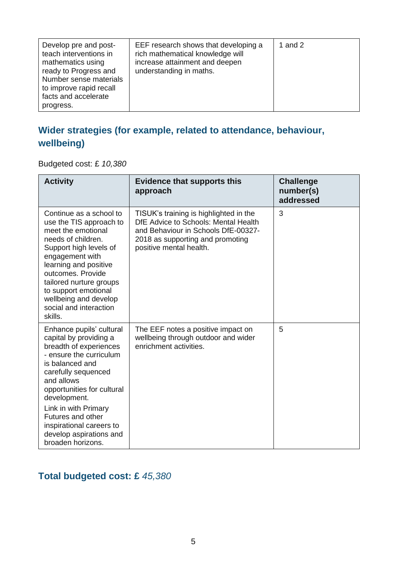| Develop pre and post-<br>teach interventions in<br>mathematics using<br>ready to Progress and<br>Number sense materials<br>to improve rapid recall<br>facts and accelerate<br>progress. | EEF research shows that developing a<br>rich mathematical knowledge will<br>increase attainment and deepen<br>understanding in maths. | 1 and $2$ |
|-----------------------------------------------------------------------------------------------------------------------------------------------------------------------------------------|---------------------------------------------------------------------------------------------------------------------------------------|-----------|
|-----------------------------------------------------------------------------------------------------------------------------------------------------------------------------------------|---------------------------------------------------------------------------------------------------------------------------------------|-----------|

## **Wider strategies (for example, related to attendance, behaviour, wellbeing)**

Budgeted cost: £ *10,380*

| <b>Activity</b>                                                                                                                                                                                                                                                                                                                        | <b>Evidence that supports this</b><br>approach                                                                                                                                       | <b>Challenge</b><br>number(s)<br>addressed |
|----------------------------------------------------------------------------------------------------------------------------------------------------------------------------------------------------------------------------------------------------------------------------------------------------------------------------------------|--------------------------------------------------------------------------------------------------------------------------------------------------------------------------------------|--------------------------------------------|
| Continue as a school to<br>use the TIS approach to<br>meet the emotional<br>needs of children.<br>Support high levels of<br>engagement with<br>learning and positive<br>outcomes. Provide<br>tailored nurture groups<br>to support emotional<br>wellbeing and develop<br>social and interaction<br>skills.                             | TISUK's training is highlighted in the<br>DfE Advice to Schools: Mental Health<br>and Behaviour in Schools DfE-00327-<br>2018 as supporting and promoting<br>positive mental health. | 3                                          |
| Enhance pupils' cultural<br>capital by providing a<br>breadth of experiences<br>- ensure the curriculum<br>is balanced and<br>carefully sequenced<br>and allows<br>opportunities for cultural<br>development.<br>Link in with Primary<br>Futures and other<br>inspirational careers to<br>develop aspirations and<br>broaden horizons. | The EEF notes a positive impact on<br>wellbeing through outdoor and wider<br>enrichment activities.                                                                                  | 5                                          |

### **Total budgeted cost: £** *45,380*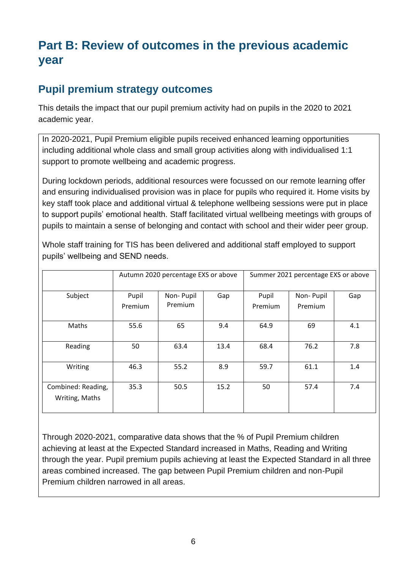# **Part B: Review of outcomes in the previous academic year**

## **Pupil premium strategy outcomes**

This details the impact that our pupil premium activity had on pupils in the 2020 to 2021 academic year.

In 2020-2021, Pupil Premium eligible pupils received enhanced learning opportunities including additional whole class and small group activities along with individualised 1:1 support to promote wellbeing and academic progress.

During lockdown periods, additional resources were focussed on our remote learning offer and ensuring individualised provision was in place for pupils who required it. Home visits by key staff took place and additional virtual & telephone wellbeing sessions were put in place to support pupils' emotional health. Staff facilitated virtual wellbeing meetings with groups of pupils to maintain a sense of belonging and contact with school and their wider peer group.

|                                      | Autumn 2020 percentage EXS or above |                      |      | Summer 2021 percentage EXS or above |                      |     |
|--------------------------------------|-------------------------------------|----------------------|------|-------------------------------------|----------------------|-----|
| Subject                              | Pupil<br>Premium                    | Non-Pupil<br>Premium | Gap  | Pupil<br>Premium                    | Non-Pupil<br>Premium | Gap |
| Maths                                | 55.6                                | 65                   | 9.4  | 64.9                                | 69                   | 4.1 |
| Reading                              | 50                                  | 63.4                 | 13.4 | 68.4                                | 76.2                 | 7.8 |
| Writing                              | 46.3                                | 55.2                 | 8.9  | 59.7                                | 61.1                 | 1.4 |
| Combined: Reading,<br>Writing, Maths | 35.3                                | 50.5                 | 15.2 | 50                                  | 57.4                 | 7.4 |

Whole staff training for TIS has been delivered and additional staff employed to support pupils' wellbeing and SEND needs.

Through 2020-2021, comparative data shows that the % of Pupil Premium children achieving at least at the Expected Standard increased in Maths, Reading and Writing through the year. Pupil premium pupils achieving at least the Expected Standard in all three areas combined increased. The gap between Pupil Premium children and non-Pupil Premium children narrowed in all areas.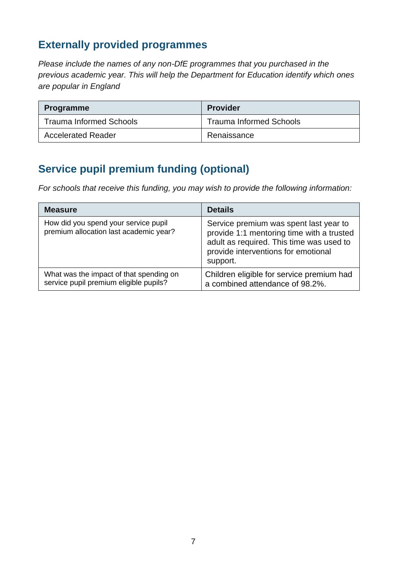## **Externally provided programmes**

*Please include the names of any non-DfE programmes that you purchased in the previous academic year. This will help the Department for Education identify which ones are popular in England*

| <b>Programme</b>               | <b>Provider</b>                |
|--------------------------------|--------------------------------|
| <b>Trauma Informed Schools</b> | <b>Trauma Informed Schools</b> |
| <b>Accelerated Reader</b>      | Renaissance                    |

## **Service pupil premium funding (optional)**

*For schools that receive this funding, you may wish to provide the following information:* 

| <b>Measure</b>                                                                    | <b>Details</b>                                                                                                                                                                     |
|-----------------------------------------------------------------------------------|------------------------------------------------------------------------------------------------------------------------------------------------------------------------------------|
| How did you spend your service pupil<br>premium allocation last academic year?    | Service premium was spent last year to<br>provide 1:1 mentoring time with a trusted<br>adult as required. This time was used to<br>provide interventions for emotional<br>support. |
| What was the impact of that spending on<br>service pupil premium eligible pupils? | Children eligible for service premium had<br>a combined attendance of 98.2%.                                                                                                       |